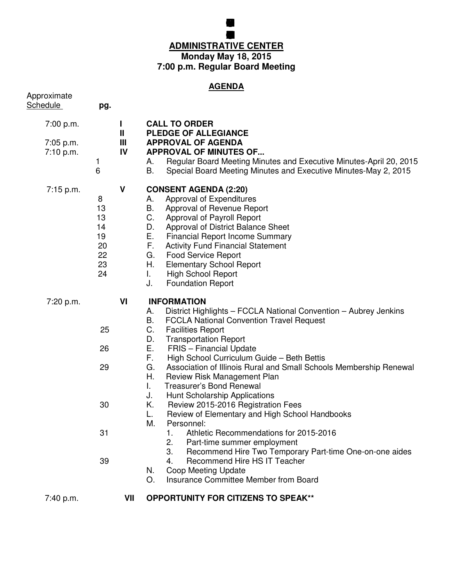## **BOARD FEUCATION MEG ADMINISTRATIVE CENTER Monday May 18, 2015 7:00 p.m. Regular Board Meeting**

**GRENFILD COMUNITY SCHOL**

## **AGENDA**

| Approximate<br><b>Schedule</b> | pg.                                               |         |                                                                                                                                                                                                                                                                                                                                                                                                                                               |
|--------------------------------|---------------------------------------------------|---------|-----------------------------------------------------------------------------------------------------------------------------------------------------------------------------------------------------------------------------------------------------------------------------------------------------------------------------------------------------------------------------------------------------------------------------------------------|
| 7:00 p.m.                      |                                                   | L<br>Ш  | <b>CALL TO ORDER</b><br>PLEDGE OF ALLEGIANCE                                                                                                                                                                                                                                                                                                                                                                                                  |
| 7:05 p.m.<br>7:10 p.m.         | 1<br>6                                            | Ш<br>IV | <b>APPROVAL OF AGENDA</b><br><b>APPROVAL OF MINUTES OF</b><br>Regular Board Meeting Minutes and Executive Minutes-April 20, 2015<br>А.<br>B.<br>Special Board Meeting Minutes and Executive Minutes-May 2, 2015                                                                                                                                                                                                                               |
| 7:15 p.m.                      | 8<br>13<br>13<br>14<br>19<br>20<br>22<br>23<br>24 | V       | <b>CONSENT AGENDA (2:20)</b><br><b>Approval of Expenditures</b><br>А.<br>В.<br>Approval of Revenue Report<br>C.<br>Approval of Payroll Report<br>Approval of District Balance Sheet<br>D.<br>Ε.<br><b>Financial Report Income Summary</b><br>F.<br><b>Activity Fund Financial Statement</b><br>G.<br><b>Food Service Report</b><br>Η.<br><b>Elementary School Report</b><br>L.<br><b>High School Report</b><br>J.<br><b>Foundation Report</b> |
| 7:20 p.m.                      |                                                   | VI      | <b>INFORMATION</b><br>District Highlights - FCCLA National Convention - Aubrey Jenkins<br>А.                                                                                                                                                                                                                                                                                                                                                  |
|                                | 25                                                |         | В.<br><b>FCCLA National Convention Travel Request</b><br>C.<br><b>Facilities Report</b><br>D.<br><b>Transportation Report</b>                                                                                                                                                                                                                                                                                                                 |
|                                | 26                                                |         | Ε.<br><b>FRIS</b> - Financial Update<br>F.<br>High School Curriculum Guide - Beth Bettis                                                                                                                                                                                                                                                                                                                                                      |
|                                | 29                                                |         | G.<br>Association of Illinois Rural and Small Schools Membership Renewal<br>Η.<br>Review Risk Management Plan<br>L.<br><b>Treasurer's Bond Renewal</b><br>J.<br>Hunt Scholarship Applications                                                                                                                                                                                                                                                 |
|                                | 30                                                |         | Κ.<br>Review 2015-2016 Registration Fees<br>L.<br>Review of Elementary and High School Handbooks<br>М.<br>Personnel:                                                                                                                                                                                                                                                                                                                          |
|                                | 31                                                |         | Athletic Recommendations for 2015-2016<br>1.<br>2.<br>Part-time summer employment<br>3.<br>Recommend Hire Two Temporary Part-time One-on-one aides                                                                                                                                                                                                                                                                                            |
|                                | 39                                                |         | Recommend Hire HS IT Teacher<br>4.<br>Coop Meeting Update<br>N.<br>Insurance Committee Member from Board<br>O.                                                                                                                                                                                                                                                                                                                                |
| 7:40 p.m.                      |                                                   | VII     | <b>OPPORTUNITY FOR CITIZENS TO SPEAK**</b>                                                                                                                                                                                                                                                                                                                                                                                                    |